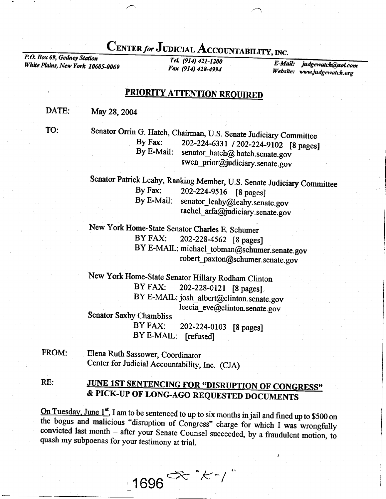## CENTER for JUDICIAL ACCOUNTABILITY, INC.<br>P.O. Box 69, Gednev Station

White Plains, New York 10605-0069

TeL (914) 421-1200 Fax (914) 428-4994

E-Mail: judgewatch@aol. Website: www.judgewatch

## PRIORITY ATTENTION REOUIRED

DATE: May 28, 2004

TO:

Senator Orrin G. Hatch, Chairman, U.S. Senate Judiciary Committee<br>By Fax: 202-224-6331 / 202-224-9102 [8 name By Fax: 202-224-6331 / 202-224-9102 [8 pages]<br>By E-Mail: senator\_hatch@ hatch.senate.gov swen\_prior@judiciary.senate.gov

Senator Patrick Leahy, Ranking Member, U.S. Senate Judiciary Committee<br>By Fax: 202-224-9516 [8 nages] By Fax:  $202-224-9516$  [8 pages]<br>By E-Mail: senator leahy@leahy sena senator\_leahy@leahy.senate.gov rachel\_arfa@judiciary.senate.gov

New York Home-State Senator Charles E. Schumer<br>BY FAX: 202-228-4562 [8 pages 202-228-4562 [8 pages] BY E-MAIL: michael \_tobman@schumer. senate. gov robert\_paxton@schumer.senate.gov

New York Home-state Senator Hillary Rodham clinton BY FAX: 202-228-0121 [8 pages] BY E-MAIL: josh\_albert@clinton.senate.gov leecia\_eve@clinton.senate.gov Senator Saxby Chambliss

> BY FAX: Z0Z-224\_OIO3 [8 pages] BY E-MAIL: [refused]

FROM: Elena Ruth Sassower, Coordinator Center for Judicial Accountability, Inc. (CJA)

RE: JUNE 1ST SENTENCING FOR "DISRUPTION OF CONGRESS" & PICK-UP OF LONG-AGO REQUESTED DOCUMENTS

On Tuesday, June 1<sup>st</sup>, I am to be sentenced to up to six months in jail and fined up to \$500 on the bogus and malicious "disruption of Congress" charge for which I was wrongfully convicted last month – after your Senate convicted last month - after your Senate Counsel succeeded, by a fraudulent motion, to

 $1696$ <sup> $\propto$  \* $k$ - $/$   $\degree$ </sup>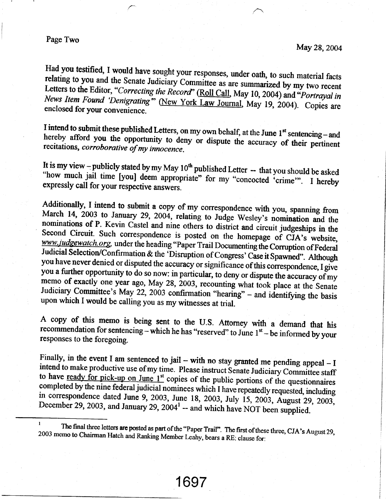## Page Two

Had you testified, I would have sought your responses, under oath, to such material facts relating to you and the Senate Judiciary Committee as are summarized by my two recent Letters to the Editor, "Correcting the Record" News Item Found 'Denigrating" (New York Law Journal, May 19, 2004). Copies are

hereby I intend to submit these published Letters, on my own behalf, at the June 1<sup>st</sup> sentencing - and hereby afford you the opportunity to deny or dispute the accuracy of their pertinent recitations, *corroborative of my innoce* 

It is my view -- publicly stated by my May  $10^{th}$  published Letter -- that you should be asked "how much jail time [you] deem appropriate" for my "concocted 'crime". I hereby expressly call for your respective answers.

Additionally, I intend to submit a copy of my correspondence with you, spanning from<br>March 14, 2003 to January 29, 2004, relating to Judge Wesley's nomination and the<br>nominations of P. Kevin Castel and nine others to distr Judiciary Committee's May 22, 2003 confirmation "hearing" – and identifying the basis upon which I would be calling you as my witnesses at trial.

A copy of this memo is being sent to the U.S. Attorney with a demand that his recommendation for sentencing – which he has "reserved" to June  $1<sup>st</sup>$  – be informed by your responses to the foregoing.

Finally, in the event I am sentenced to jail – with no stay granted me pending appeal – I intend to make productive use of my time. Please instruct Senate Judiciary Committee staff to have <u>ready for pick-up on June 1st</u> copies of the public portions of the questionnaires completed by the nine federal judicial nominees which I have repeatedly requested, including in correspondence dated June 9, 2003

<sup>&</sup>lt;sup>1</sup> The final three letters are posted as part of the "Paper Trail". The first of these three, CJA's August 29, The final three letters are posted as part of the "Paper Trail". The first of these three, CJA's August 29, 2003 memo to Chairman Hatch and Ranking Member Leahy, bears a RE: clause for: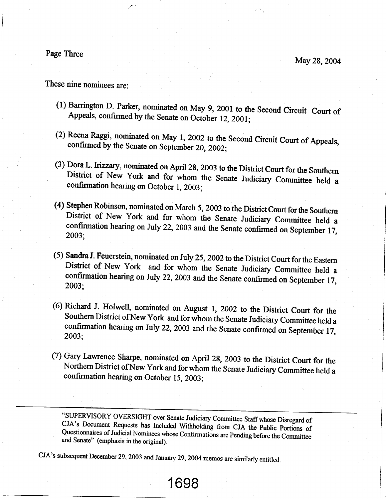Page Three

May 28,2004

These nine nominees are:

- (1) Barrington D. Parker, nominated on May 9, 2001 to the Second Circuit Court of Appeals, confirmed by the Senate on October 12, 2001;
- (2) Reena Raggi, nominated on May 1, 2002 to the Second Circuit Court of Appeals, confirmed by the Senate on September 20, 2002;
- (3) Dora L. Irizzary, nominated on April 28, 2003 to the District Court for the Southern District of New York and for whom the Senate Judiciary Committee held a confirmation hearing on October 1, 2003;
- (4) Stephen Robinson, nominated on March 5, 2003 to the District Court for the Southern District of New York and for whom the Senate Judiciary Committee held a confirmation hearing on July 22, 2003 and the Senate confirmed on September 17, 2003;
- (5) Sandra J. Feuerstein, nominated on July 25, 2002 to the District Court for the Eastern District of New York and for whom the Senate Judiciary Committee held a confirmation hearing on July 22, 2003 and the Senate confirmed on September 17, 2003:
- (6) Richard J. Holwell, nominated on August 1, 2002 to the District Court for the Southern District of New York and for whom the Senate Judiciary Committee held a confirmation hearing on July 22, 2003 and the Senate confirmed on September 17, 2003:
- (7) Gary Lawrence Sharpe, nominated on April 28, 2003 to the District Court for the Northern District of New York and for whom the Senate Judiciary Committee held a confirmation hearing on October 15,2003;

"SUPERVISORY OVERSIGHT over Senate Judiciary Committee Staff whose Disregard of CJA's Document Requests has Included Withholding from CJA the Public Portions of Questionnaires of Judicial Nominees whose Confirmations are P

1698

CJA's subsequent December 29, 2003 and January 29, 2004 memos are similarly entitled.